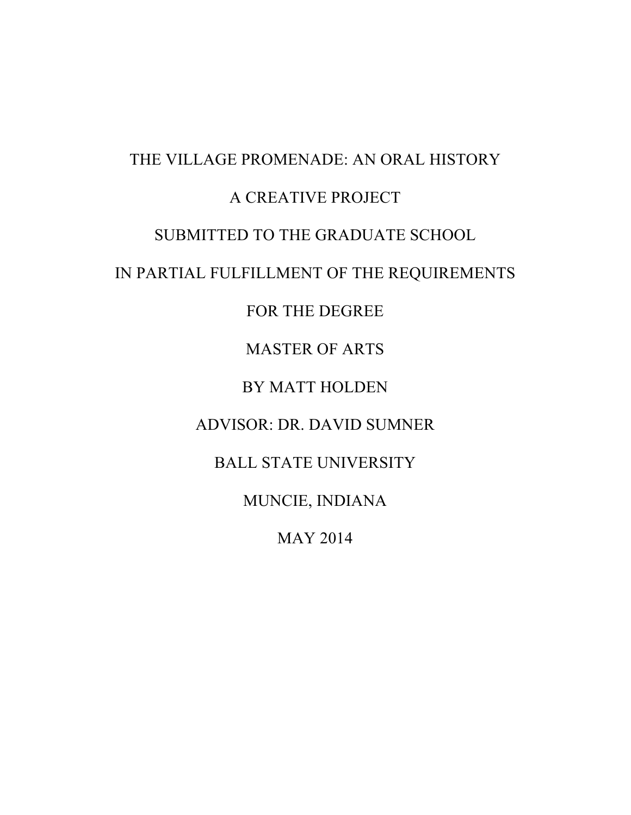# THE VILLAGE PROMENADE: AN ORAL HISTORY A CREATIVE PROJECT SUBMITTED TO THE GRADUATE SCHOOL IN PARTIAL FULFILLMENT OF THE REQUIREMENTS FOR THE DEGREE MASTER OF ARTS BY MATT HOLDEN ADVISOR: DR. DAVID SUMNER BALL STATE UNIVERSITY MUNCIE, INDIANA

MAY 2014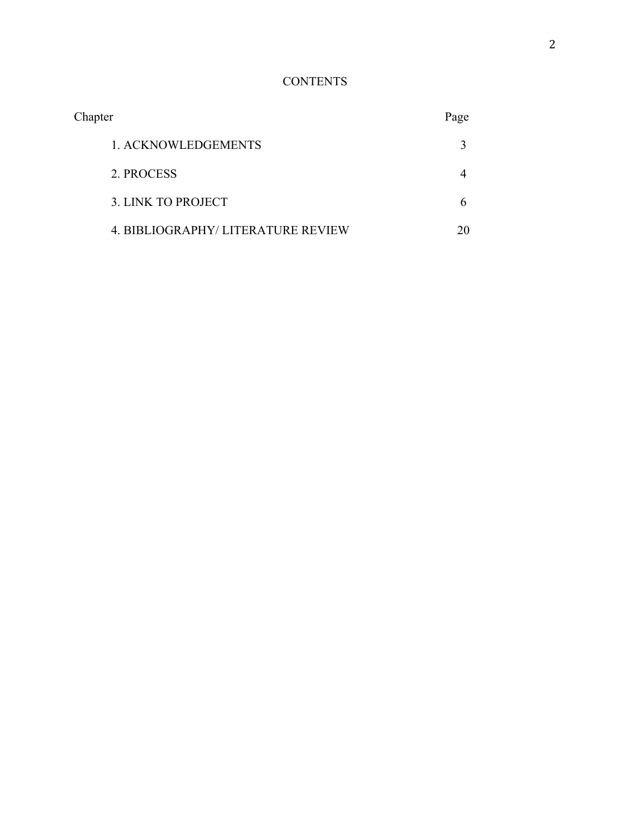# **CONTENTS**

| Chapter                            | Page |
|------------------------------------|------|
| 1. ACKNOWLEDGEMENTS                |      |
| 2. PROCESS                         |      |
| 3. LINK TO PROJECT                 |      |
| 4. BIBLIOGRAPHY/ LITERATURE REVIEW |      |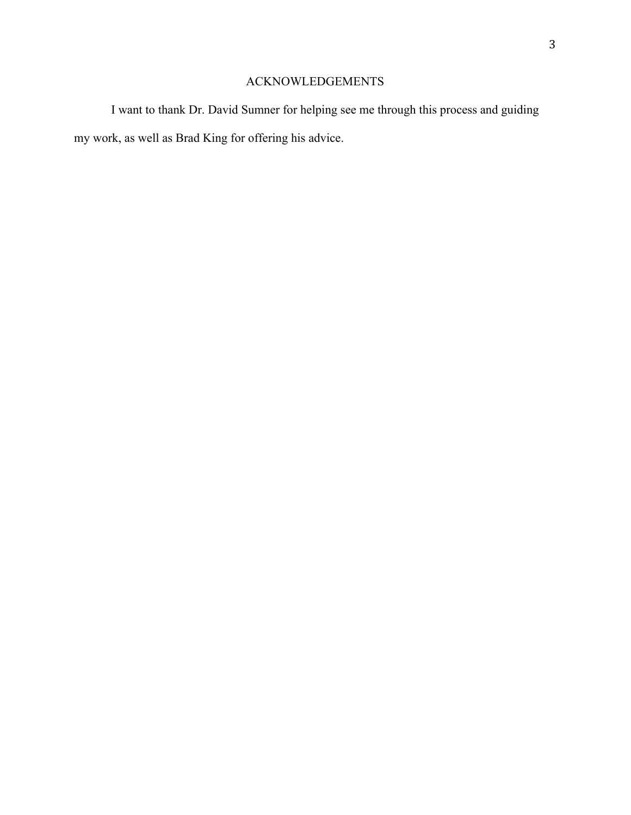# ACKNOWLEDGEMENTS

I want to thank Dr. David Sumner for helping see me through this process and guiding my work, as well as Brad King for offering his advice.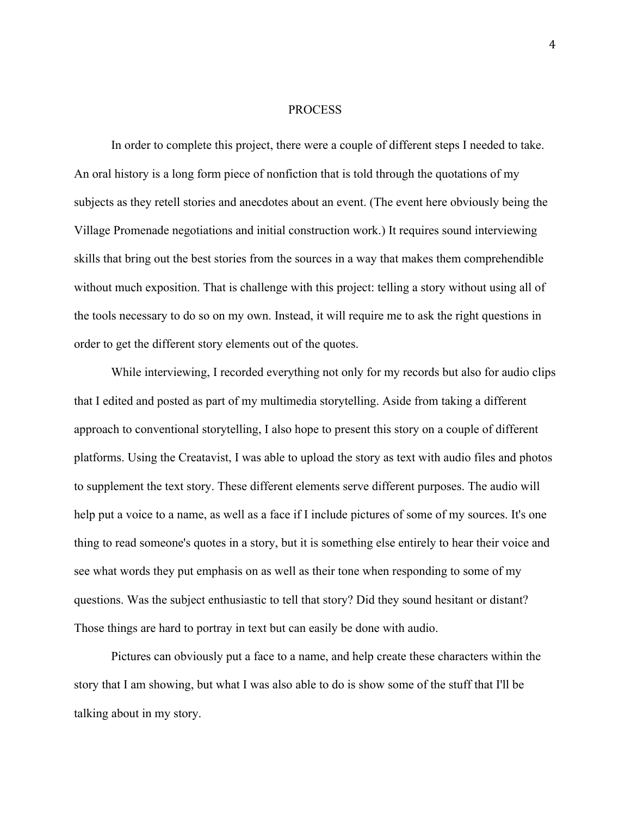#### PROCESS

In order to complete this project, there were a couple of different steps I needed to take. An oral history is a long form piece of nonfiction that is told through the quotations of my subjects as they retell stories and anecdotes about an event. (The event here obviously being the Village Promenade negotiations and initial construction work.) It requires sound interviewing skills that bring out the best stories from the sources in a way that makes them comprehendible without much exposition. That is challenge with this project: telling a story without using all of the tools necessary to do so on my own. Instead, it will require me to ask the right questions in order to get the different story elements out of the quotes.

While interviewing, I recorded everything not only for my records but also for audio clips that I edited and posted as part of my multimedia storytelling. Aside from taking a different approach to conventional storytelling, I also hope to present this story on a couple of different platforms. Using the Creatavist, I was able to upload the story as text with audio files and photos to supplement the text story. These different elements serve different purposes. The audio will help put a voice to a name, as well as a face if I include pictures of some of my sources. It's one thing to read someone's quotes in a story, but it is something else entirely to hear their voice and see what words they put emphasis on as well as their tone when responding to some of my questions. Was the subject enthusiastic to tell that story? Did they sound hesitant or distant? Those things are hard to portray in text but can easily be done with audio.

Pictures can obviously put a face to a name, and help create these characters within the story that I am showing, but what I was also able to do is show some of the stuff that I'll be talking about in my story.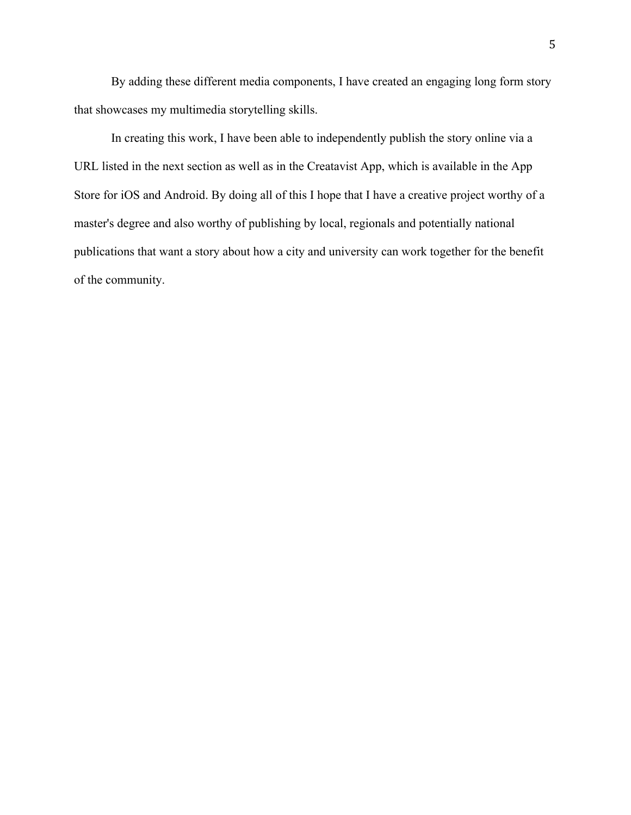By adding these different media components, I have created an engaging long form story that showcases my multimedia storytelling skills.

In creating this work, I have been able to independently publish the story online via a URL listed in the next section as well as in the Creatavist App, which is available in the App Store for iOS and Android. By doing all of this I hope that I have a creative project worthy of a master's degree and also worthy of publishing by local, regionals and potentially national publications that want a story about how a city and university can work together for the benefit of the community.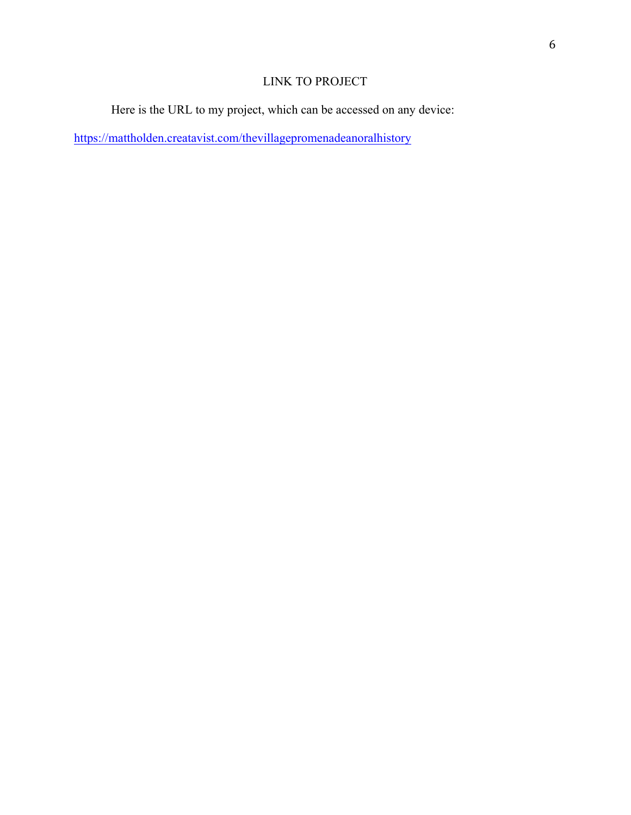# LINK TO PROJECT

Here is the URL to my project, which can be accessed on any device:

https://mattholden.creatavist.com/thevillagepromenadeanoralhistory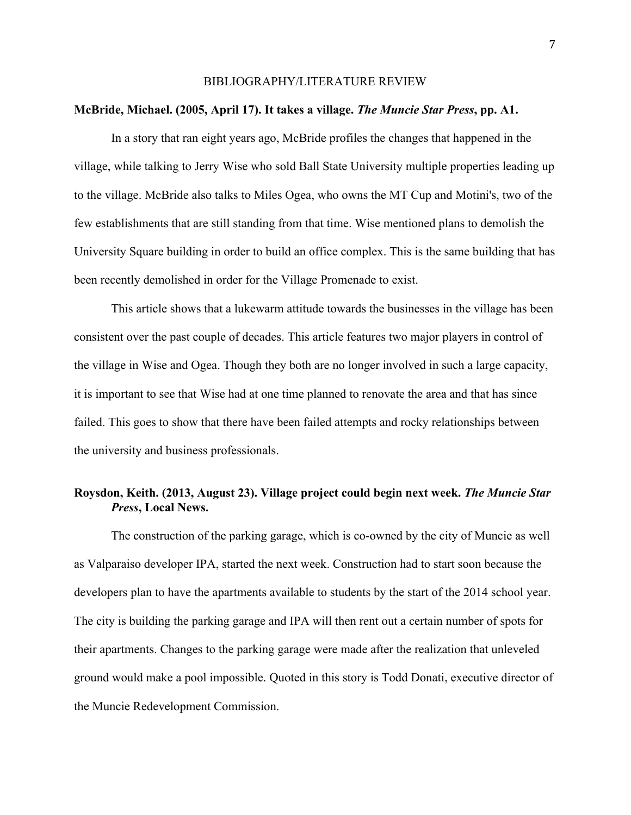#### BIBLIOGRAPHY/LITERATURE REVIEW

#### **McBride, Michael. (2005, April 17). It takes a village.** *The Muncie Star Press***, pp. A1.**

In a story that ran eight years ago, McBride profiles the changes that happened in the village, while talking to Jerry Wise who sold Ball State University multiple properties leading up to the village. McBride also talks to Miles Ogea, who owns the MT Cup and Motini's, two of the few establishments that are still standing from that time. Wise mentioned plans to demolish the University Square building in order to build an office complex. This is the same building that has been recently demolished in order for the Village Promenade to exist.

This article shows that a lukewarm attitude towards the businesses in the village has been consistent over the past couple of decades. This article features two major players in control of the village in Wise and Ogea. Though they both are no longer involved in such a large capacity, it is important to see that Wise had at one time planned to renovate the area and that has since failed. This goes to show that there have been failed attempts and rocky relationships between the university and business professionals.

# **Roysdon, Keith. (2013, August 23). Village project could begin next week.** *The Muncie Star Press***, Local News.**

The construction of the parking garage, which is co-owned by the city of Muncie as well as Valparaiso developer IPA, started the next week. Construction had to start soon because the developers plan to have the apartments available to students by the start of the 2014 school year. The city is building the parking garage and IPA will then rent out a certain number of spots for their apartments. Changes to the parking garage were made after the realization that unleveled ground would make a pool impossible. Quoted in this story is Todd Donati, executive director of the Muncie Redevelopment Commission.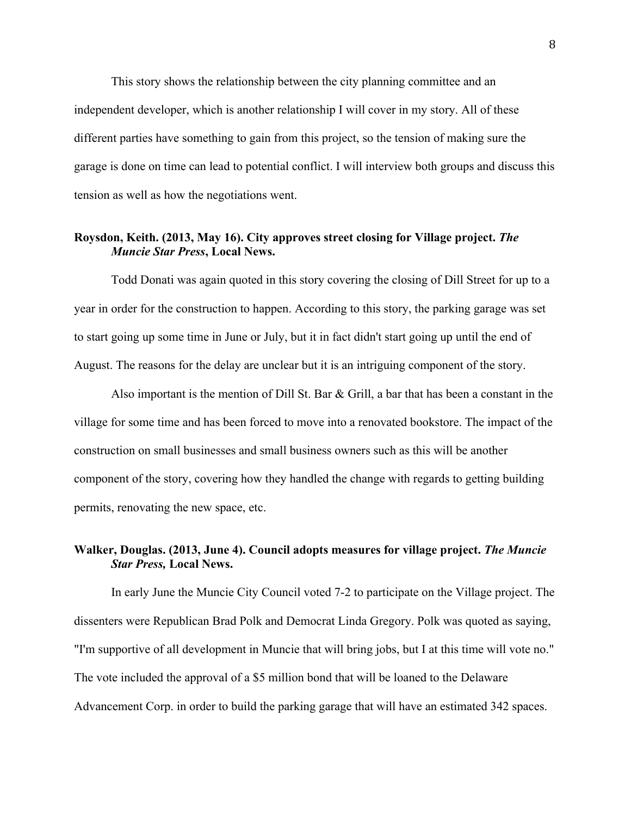This story shows the relationship between the city planning committee and an independent developer, which is another relationship I will cover in my story. All of these different parties have something to gain from this project, so the tension of making sure the garage is done on time can lead to potential conflict. I will interview both groups and discuss this tension as well as how the negotiations went.

# **Roysdon, Keith. (2013, May 16). City approves street closing for Village project.** *The Muncie Star Press***, Local News.**

Todd Donati was again quoted in this story covering the closing of Dill Street for up to a year in order for the construction to happen. According to this story, the parking garage was set to start going up some time in June or July, but it in fact didn't start going up until the end of August. The reasons for the delay are unclear but it is an intriguing component of the story.

Also important is the mention of Dill St. Bar & Grill, a bar that has been a constant in the village for some time and has been forced to move into a renovated bookstore. The impact of the construction on small businesses and small business owners such as this will be another component of the story, covering how they handled the change with regards to getting building permits, renovating the new space, etc.

# **Walker, Douglas. (2013, June 4). Council adopts measures for village project.** *The Muncie Star Press,* **Local News.**

In early June the Muncie City Council voted 7-2 to participate on the Village project. The dissenters were Republican Brad Polk and Democrat Linda Gregory. Polk was quoted as saying, "I'm supportive of all development in Muncie that will bring jobs, but I at this time will vote no." The vote included the approval of a \$5 million bond that will be loaned to the Delaware Advancement Corp. in order to build the parking garage that will have an estimated 342 spaces.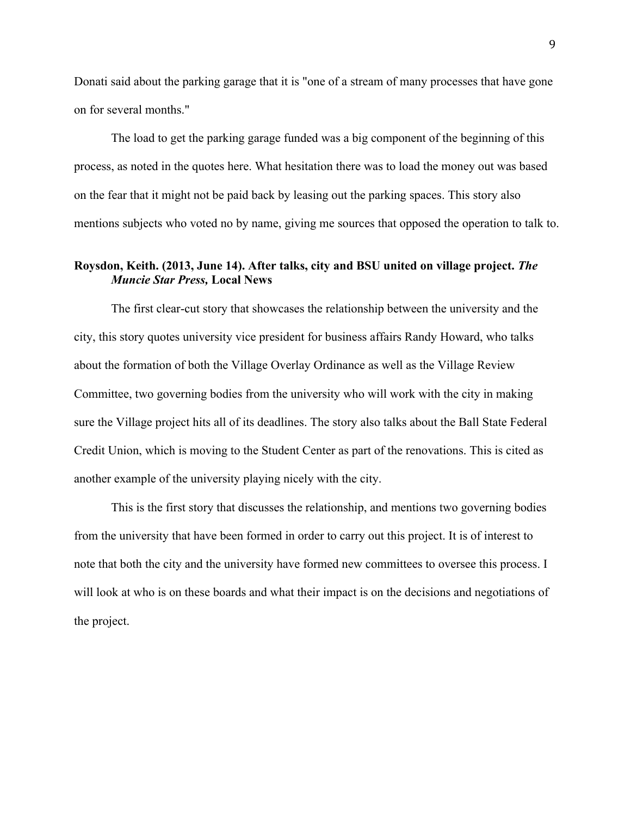Donati said about the parking garage that it is "one of a stream of many processes that have gone on for several months."

The load to get the parking garage funded was a big component of the beginning of this process, as noted in the quotes here. What hesitation there was to load the money out was based on the fear that it might not be paid back by leasing out the parking spaces. This story also mentions subjects who voted no by name, giving me sources that opposed the operation to talk to.

# **Roysdon, Keith. (2013, June 14). After talks, city and BSU united on village project.** *The Muncie Star Press,* **Local News**

The first clear-cut story that showcases the relationship between the university and the city, this story quotes university vice president for business affairs Randy Howard, who talks about the formation of both the Village Overlay Ordinance as well as the Village Review Committee, two governing bodies from the university who will work with the city in making sure the Village project hits all of its deadlines. The story also talks about the Ball State Federal Credit Union, which is moving to the Student Center as part of the renovations. This is cited as another example of the university playing nicely with the city.

This is the first story that discusses the relationship, and mentions two governing bodies from the university that have been formed in order to carry out this project. It is of interest to note that both the city and the university have formed new committees to oversee this process. I will look at who is on these boards and what their impact is on the decisions and negotiations of the project.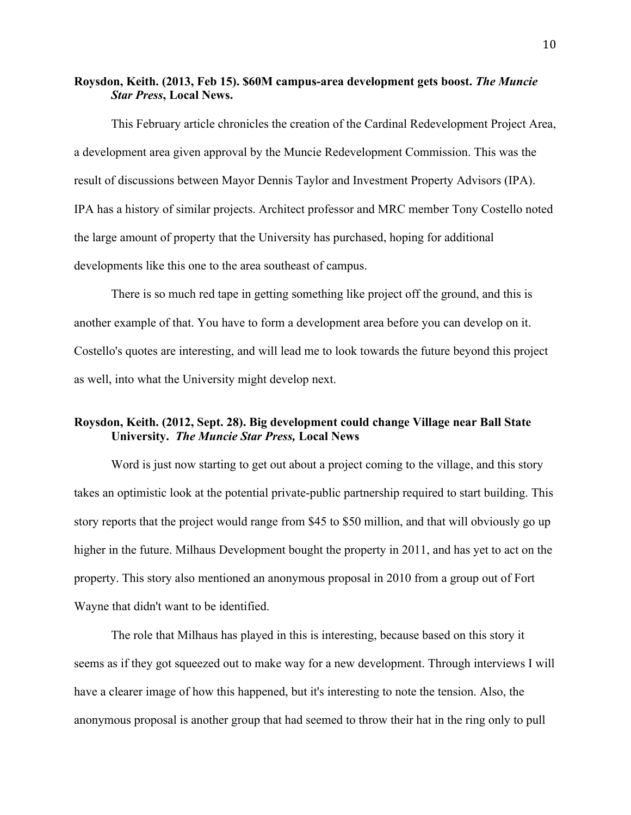# **Roysdon, Keith. (2013, Feb 15). \$60M campus-area development gets boost.** *The Muncie Star Press***, Local News.**

This February article chronicles the creation of the Cardinal Redevelopment Project Area, a development area given approval by the Muncie Redevelopment Commission. This was the result of discussions between Mayor Dennis Taylor and Investment Property Advisors (IPA). IPA has a history of similar projects. Architect professor and MRC member Tony Costello noted the large amount of property that the University has purchased, hoping for additional developments like this one to the area southeast of campus.

There is so much red tape in getting something like project off the ground, and this is another example of that. You have to form a development area before you can develop on it. Costello's quotes are interesting, and will lead me to look towards the future beyond this project as well, into what the University might develop next.

## **Roysdon, Keith. (2012, Sept. 28). Big development could change Village near Ball State University.** *The Muncie Star Press,* **Local News**

Word is just now starting to get out about a project coming to the village, and this story takes an optimistic look at the potential private-public partnership required to start building. This story reports that the project would range from \$45 to \$50 million, and that will obviously go up higher in the future. Milhaus Development bought the property in 2011, and has yet to act on the property. This story also mentioned an anonymous proposal in 2010 from a group out of Fort Wayne that didn't want to be identified.

The role that Milhaus has played in this is interesting, because based on this story it seems as if they got squeezed out to make way for a new development. Through interviews I will have a clearer image of how this happened, but it's interesting to note the tension. Also, the anonymous proposal is another group that had seemed to throw their hat in the ring only to pull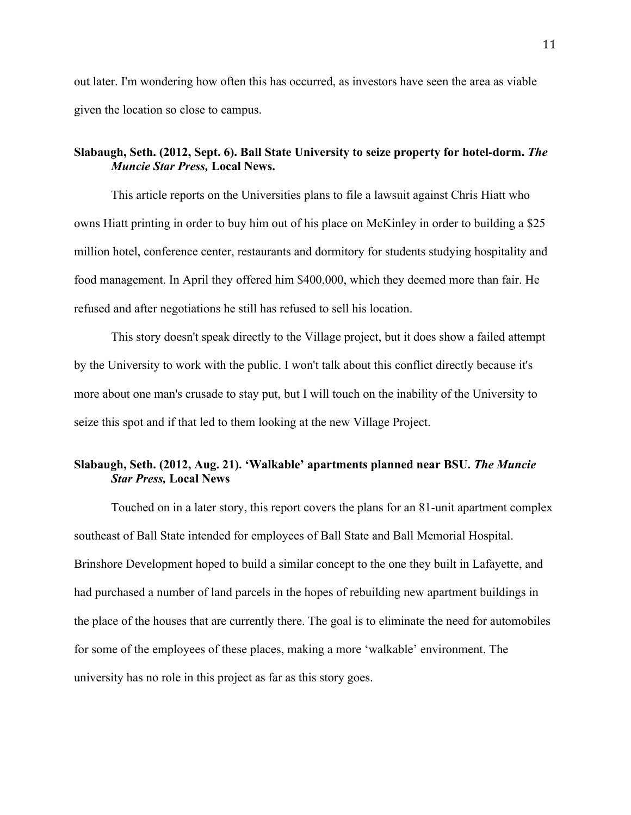out later. I'm wondering how often this has occurred, as investors have seen the area as viable given the location so close to campus.

# **Slabaugh, Seth. (2012, Sept. 6). Ball State University to seize property for hotel-dorm.** *The Muncie Star Press,* **Local News.**

This article reports on the Universities plans to file a lawsuit against Chris Hiatt who owns Hiatt printing in order to buy him out of his place on McKinley in order to building a \$25 million hotel, conference center, restaurants and dormitory for students studying hospitality and food management. In April they offered him \$400,000, which they deemed more than fair. He refused and after negotiations he still has refused to sell his location.

This story doesn't speak directly to the Village project, but it does show a failed attempt by the University to work with the public. I won't talk about this conflict directly because it's more about one man's crusade to stay put, but I will touch on the inability of the University to seize this spot and if that led to them looking at the new Village Project.

# **Slabaugh, Seth. (2012, Aug. 21). 'Walkable' apartments planned near BSU.** *The Muncie Star Press,* **Local News**

Touched on in a later story, this report covers the plans for an 81-unit apartment complex southeast of Ball State intended for employees of Ball State and Ball Memorial Hospital. Brinshore Development hoped to build a similar concept to the one they built in Lafayette, and had purchased a number of land parcels in the hopes of rebuilding new apartment buildings in the place of the houses that are currently there. The goal is to eliminate the need for automobiles for some of the employees of these places, making a more 'walkable' environment. The university has no role in this project as far as this story goes.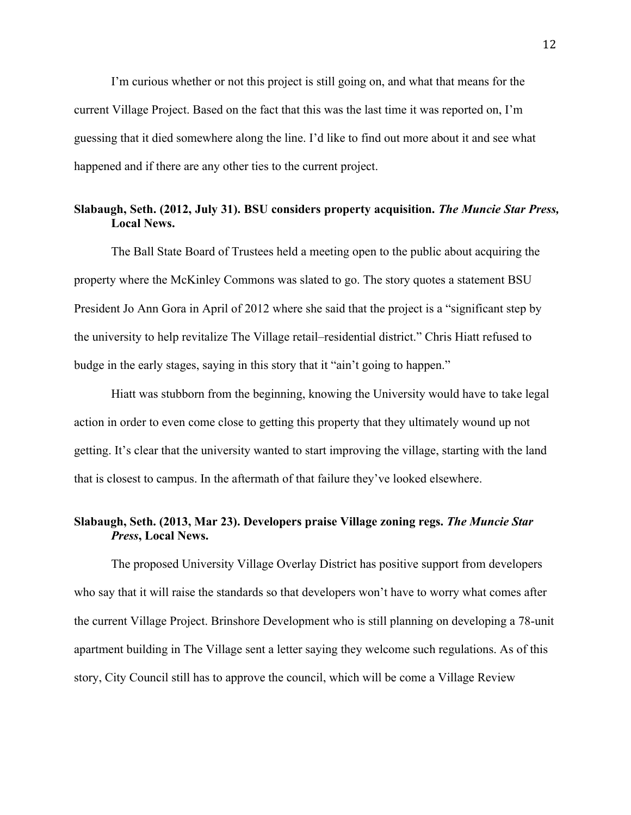I'm curious whether or not this project is still going on, and what that means for the current Village Project. Based on the fact that this was the last time it was reported on, I'm guessing that it died somewhere along the line. I'd like to find out more about it and see what happened and if there are any other ties to the current project.

# **Slabaugh, Seth. (2012, July 31). BSU considers property acquisition.** *The Muncie Star Press,*  **Local News.**

The Ball State Board of Trustees held a meeting open to the public about acquiring the property where the McKinley Commons was slated to go. The story quotes a statement BSU President Jo Ann Gora in April of 2012 where she said that the project is a "significant step by the university to help revitalize The Village retail–residential district." Chris Hiatt refused to budge in the early stages, saying in this story that it "ain't going to happen."

Hiatt was stubborn from the beginning, knowing the University would have to take legal action in order to even come close to getting this property that they ultimately wound up not getting. It's clear that the university wanted to start improving the village, starting with the land that is closest to campus. In the aftermath of that failure they've looked elsewhere.

# **Slabaugh, Seth. (2013, Mar 23). Developers praise Village zoning regs.** *The Muncie Star Press***, Local News.**

The proposed University Village Overlay District has positive support from developers who say that it will raise the standards so that developers won't have to worry what comes after the current Village Project. Brinshore Development who is still planning on developing a 78-unit apartment building in The Village sent a letter saying they welcome such regulations. As of this story, City Council still has to approve the council, which will be come a Village Review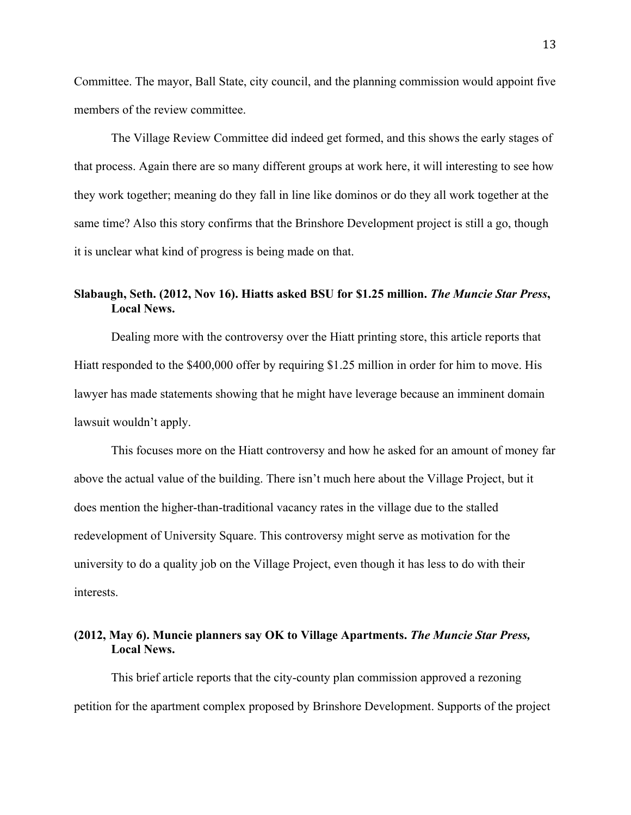Committee. The mayor, Ball State, city council, and the planning commission would appoint five members of the review committee.

The Village Review Committee did indeed get formed, and this shows the early stages of that process. Again there are so many different groups at work here, it will interesting to see how they work together; meaning do they fall in line like dominos or do they all work together at the same time? Also this story confirms that the Brinshore Development project is still a go, though it is unclear what kind of progress is being made on that.

# **Slabaugh, Seth. (2012, Nov 16). Hiatts asked BSU for \$1.25 million.** *The Muncie Star Press***, Local News.**

Dealing more with the controversy over the Hiatt printing store, this article reports that Hiatt responded to the \$400,000 offer by requiring \$1.25 million in order for him to move. His lawyer has made statements showing that he might have leverage because an imminent domain lawsuit wouldn't apply.

This focuses more on the Hiatt controversy and how he asked for an amount of money far above the actual value of the building. There isn't much here about the Village Project, but it does mention the higher-than-traditional vacancy rates in the village due to the stalled redevelopment of University Square. This controversy might serve as motivation for the university to do a quality job on the Village Project, even though it has less to do with their interests.

# **(2012, May 6). Muncie planners say OK to Village Apartments.** *The Muncie Star Press,*  **Local News.**

This brief article reports that the city-county plan commission approved a rezoning petition for the apartment complex proposed by Brinshore Development. Supports of the project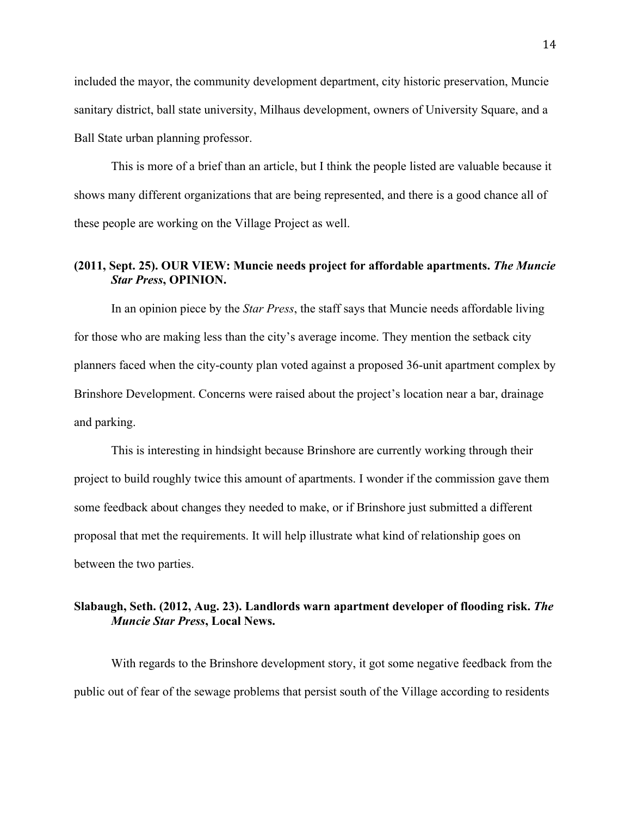included the mayor, the community development department, city historic preservation, Muncie sanitary district, ball state university, Milhaus development, owners of University Square, and a Ball State urban planning professor.

This is more of a brief than an article, but I think the people listed are valuable because it shows many different organizations that are being represented, and there is a good chance all of these people are working on the Village Project as well.

# **(2011, Sept. 25). OUR VIEW: Muncie needs project for affordable apartments.** *The Muncie Star Press***, OPINION.**

In an opinion piece by the *Star Press*, the staff says that Muncie needs affordable living for those who are making less than the city's average income. They mention the setback city planners faced when the city-county plan voted against a proposed 36-unit apartment complex by Brinshore Development. Concerns were raised about the project's location near a bar, drainage and parking.

This is interesting in hindsight because Brinshore are currently working through their project to build roughly twice this amount of apartments. I wonder if the commission gave them some feedback about changes they needed to make, or if Brinshore just submitted a different proposal that met the requirements. It will help illustrate what kind of relationship goes on between the two parties.

# **Slabaugh, Seth. (2012, Aug. 23). Landlords warn apartment developer of flooding risk.** *The Muncie Star Press***, Local News.**

With regards to the Brinshore development story, it got some negative feedback from the public out of fear of the sewage problems that persist south of the Village according to residents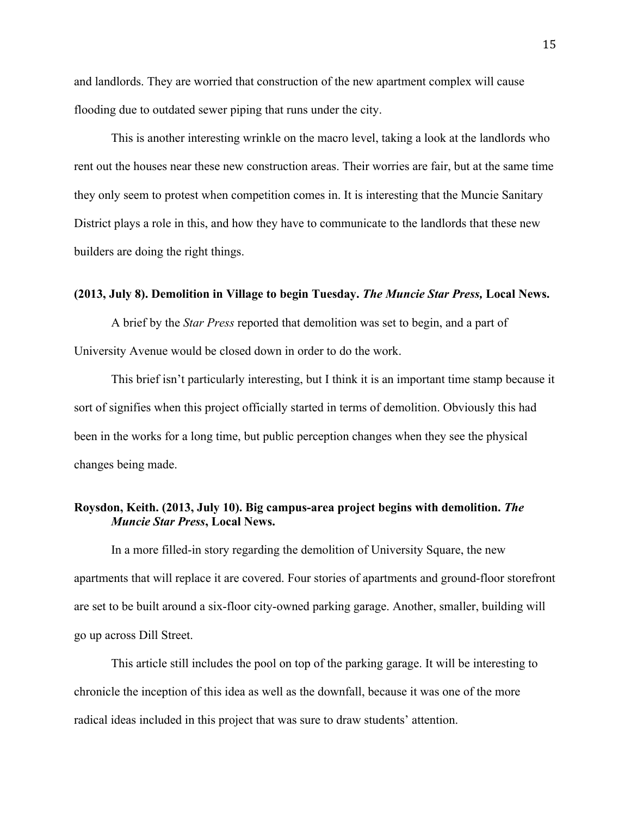and landlords. They are worried that construction of the new apartment complex will cause flooding due to outdated sewer piping that runs under the city.

This is another interesting wrinkle on the macro level, taking a look at the landlords who rent out the houses near these new construction areas. Their worries are fair, but at the same time they only seem to protest when competition comes in. It is interesting that the Muncie Sanitary District plays a role in this, and how they have to communicate to the landlords that these new builders are doing the right things.

### **(2013, July 8). Demolition in Village to begin Tuesday.** *The Muncie Star Press,* **Local News.**

A brief by the *Star Press* reported that demolition was set to begin, and a part of University Avenue would be closed down in order to do the work.

This brief isn't particularly interesting, but I think it is an important time stamp because it sort of signifies when this project officially started in terms of demolition. Obviously this had been in the works for a long time, but public perception changes when they see the physical changes being made.

# **Roysdon, Keith. (2013, July 10). Big campus-area project begins with demolition.** *The Muncie Star Press***, Local News.**

In a more filled-in story regarding the demolition of University Square, the new apartments that will replace it are covered. Four stories of apartments and ground-floor storefront are set to be built around a six-floor city-owned parking garage. Another, smaller, building will go up across Dill Street.

This article still includes the pool on top of the parking garage. It will be interesting to chronicle the inception of this idea as well as the downfall, because it was one of the more radical ideas included in this project that was sure to draw students' attention.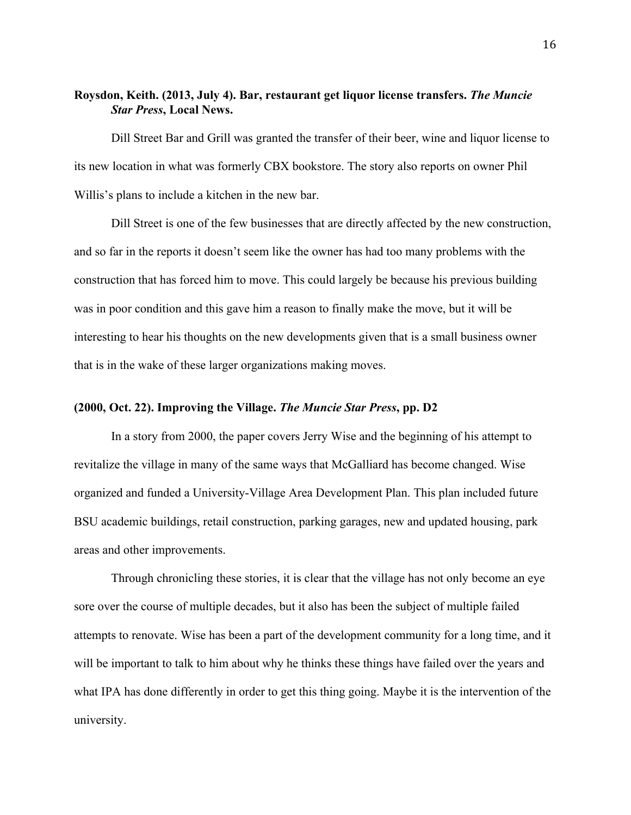## **Roysdon, Keith. (2013, July 4). Bar, restaurant get liquor license transfers.** *The Muncie Star Press***, Local News.**

Dill Street Bar and Grill was granted the transfer of their beer, wine and liquor license to its new location in what was formerly CBX bookstore. The story also reports on owner Phil Willis's plans to include a kitchen in the new bar.

Dill Street is one of the few businesses that are directly affected by the new construction, and so far in the reports it doesn't seem like the owner has had too many problems with the construction that has forced him to move. This could largely be because his previous building was in poor condition and this gave him a reason to finally make the move, but it will be interesting to hear his thoughts on the new developments given that is a small business owner that is in the wake of these larger organizations making moves.

## **(2000, Oct. 22). Improving the Village.** *The Muncie Star Press***, pp. D2**

In a story from 2000, the paper covers Jerry Wise and the beginning of his attempt to revitalize the village in many of the same ways that McGalliard has become changed. Wise organized and funded a University-Village Area Development Plan. This plan included future BSU academic buildings, retail construction, parking garages, new and updated housing, park areas and other improvements.

Through chronicling these stories, it is clear that the village has not only become an eye sore over the course of multiple decades, but it also has been the subject of multiple failed attempts to renovate. Wise has been a part of the development community for a long time, and it will be important to talk to him about why he thinks these things have failed over the years and what IPA has done differently in order to get this thing going. Maybe it is the intervention of the university.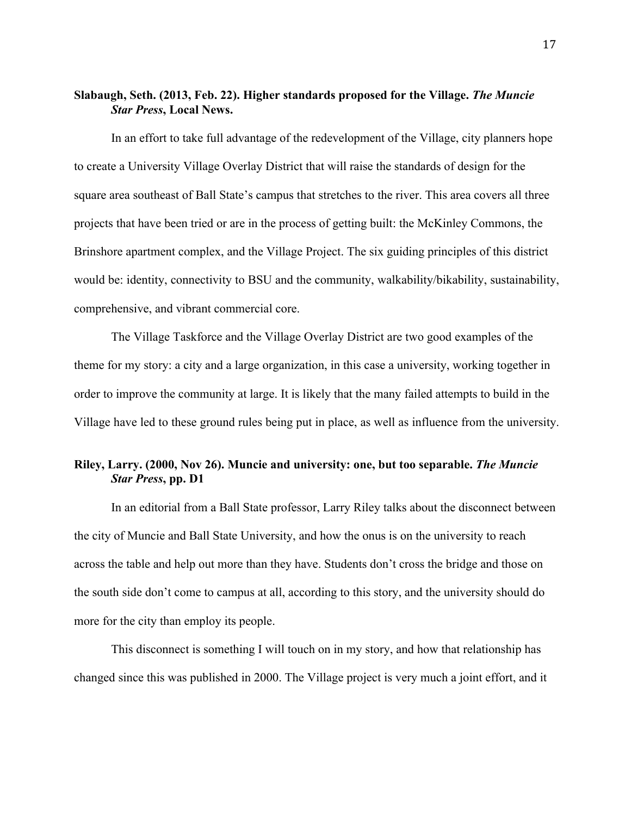## **Slabaugh, Seth. (2013, Feb. 22). Higher standards proposed for the Village.** *The Muncie Star Press***, Local News.**

In an effort to take full advantage of the redevelopment of the Village, city planners hope to create a University Village Overlay District that will raise the standards of design for the square area southeast of Ball State's campus that stretches to the river. This area covers all three projects that have been tried or are in the process of getting built: the McKinley Commons, the Brinshore apartment complex, and the Village Project. The six guiding principles of this district would be: identity, connectivity to BSU and the community, walkability/bikability, sustainability, comprehensive, and vibrant commercial core.

The Village Taskforce and the Village Overlay District are two good examples of the theme for my story: a city and a large organization, in this case a university, working together in order to improve the community at large. It is likely that the many failed attempts to build in the Village have led to these ground rules being put in place, as well as influence from the university.

# **Riley, Larry. (2000, Nov 26). Muncie and university: one, but too separable.** *The Muncie Star Press***, pp. D1**

In an editorial from a Ball State professor, Larry Riley talks about the disconnect between the city of Muncie and Ball State University, and how the onus is on the university to reach across the table and help out more than they have. Students don't cross the bridge and those on the south side don't come to campus at all, according to this story, and the university should do more for the city than employ its people.

This disconnect is something I will touch on in my story, and how that relationship has changed since this was published in 2000. The Village project is very much a joint effort, and it